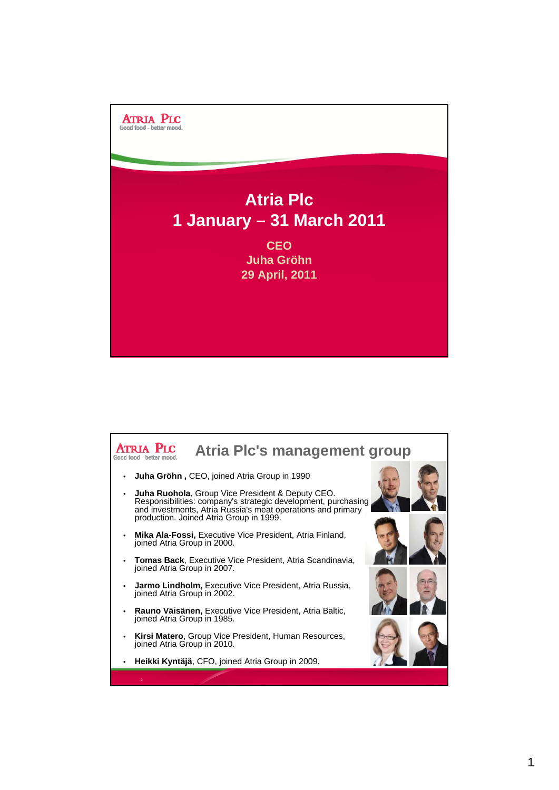

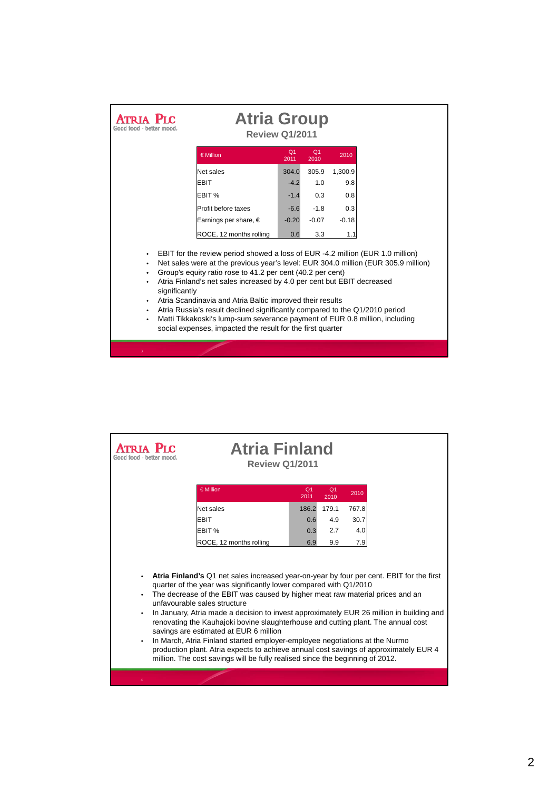| Good food - hefter mood                                                                                                                                                                                                                                                                                                                                                                                                                                                                                                                                                                                                                                                   | <b>Atria Group</b><br><b>Review Q1/2011</b>  |                        |                        |                |  |  |
|---------------------------------------------------------------------------------------------------------------------------------------------------------------------------------------------------------------------------------------------------------------------------------------------------------------------------------------------------------------------------------------------------------------------------------------------------------------------------------------------------------------------------------------------------------------------------------------------------------------------------------------------------------------------------|----------------------------------------------|------------------------|------------------------|----------------|--|--|
|                                                                                                                                                                                                                                                                                                                                                                                                                                                                                                                                                                                                                                                                           | € Million                                    | Q <sub>1</sub><br>2011 | Q <sub>1</sub><br>2010 | 2010           |  |  |
|                                                                                                                                                                                                                                                                                                                                                                                                                                                                                                                                                                                                                                                                           | Net sales<br><b>EBIT</b>                     | 304.0<br>$-4.2$        | 305.9<br>1.0           | 1,300.9<br>9.8 |  |  |
|                                                                                                                                                                                                                                                                                                                                                                                                                                                                                                                                                                                                                                                                           | EBIT %                                       | $-1.4$                 | 0.3                    | 0.8            |  |  |
| Profit before taxes<br>Earnings per share, €                                                                                                                                                                                                                                                                                                                                                                                                                                                                                                                                                                                                                              |                                              |                        | $-1.8$<br>$-0.07$      | 0.3<br>$-0.18$ |  |  |
|                                                                                                                                                                                                                                                                                                                                                                                                                                                                                                                                                                                                                                                                           | ROCE, 12 months rolling<br>3.3<br>0.6<br>1.1 |                        |                        |                |  |  |
| EBIT for the review period showed a loss of EUR -4.2 million (EUR 1.0 million)<br>$\bullet$<br>Net sales were at the previous year's level: EUR 304.0 million (EUR 305.9 million)<br>٠<br>Group's equity ratio rose to 41.2 per cent (40.2 per cent)<br>٠<br>Atria Finland's net sales increased by 4.0 per cent but EBIT decreased<br>٠<br>significantly<br>Atria Scandinavia and Atria Baltic improved their results<br>$\bullet$<br>Atria Russia's result declined significantly compared to the Q1/2010 period<br>٠<br>Matti Tikkakoski's lump-sum severance payment of EUR 0.8 million, including<br>٠<br>social expenses, impacted the result for the first quarter |                                              |                        |                        |                |  |  |

|                                                                                                                                                                                                                                                                                                                                                                                                                                                                                                                      | <b>Atria Finland</b><br><b>Review Q1/2011</b> |                        |                        |               |  |
|----------------------------------------------------------------------------------------------------------------------------------------------------------------------------------------------------------------------------------------------------------------------------------------------------------------------------------------------------------------------------------------------------------------------------------------------------------------------------------------------------------------------|-----------------------------------------------|------------------------|------------------------|---------------|--|
|                                                                                                                                                                                                                                                                                                                                                                                                                                                                                                                      | € Million                                     | Q <sub>1</sub><br>2011 | O <sub>1</sub><br>2010 | 2010          |  |
|                                                                                                                                                                                                                                                                                                                                                                                                                                                                                                                      | <b>Net sales</b><br><b>EBIT</b>               | 186.2<br>0.6           | 179.1<br>4.9           | 767.8<br>30.7 |  |
|                                                                                                                                                                                                                                                                                                                                                                                                                                                                                                                      | EBIT %                                        | 0.3                    | 2.7                    | 4.0           |  |
| 9.9<br>7.9<br>ROCE, 12 months rolling<br>6.9<br>Atria Finland's Q1 net sales increased year-on-year by four per cent. EBIT for the first<br>quarter of the year was significantly lower compared with Q1/2010<br>The decrease of the EBIT was caused by higher meat raw material prices and an<br>unfavourable sales structure<br>In January, Atria made a decision to invest approximately EUR 26 million in building and<br>٠<br>renovating the Kauhajoki bovine slaughterhouse and cutting plant. The annual cost |                                               |                        |                        |               |  |
| savings are estimated at EUR 6 million<br>In March, Atria Finland started employer-employee negotiations at the Nurmo<br>$\bullet$<br>production plant. Atria expects to achieve annual cost savings of approximately EUR 4<br>million. The cost savings will be fully realised since the beginning of 2012.                                                                                                                                                                                                         |                                               |                        |                        |               |  |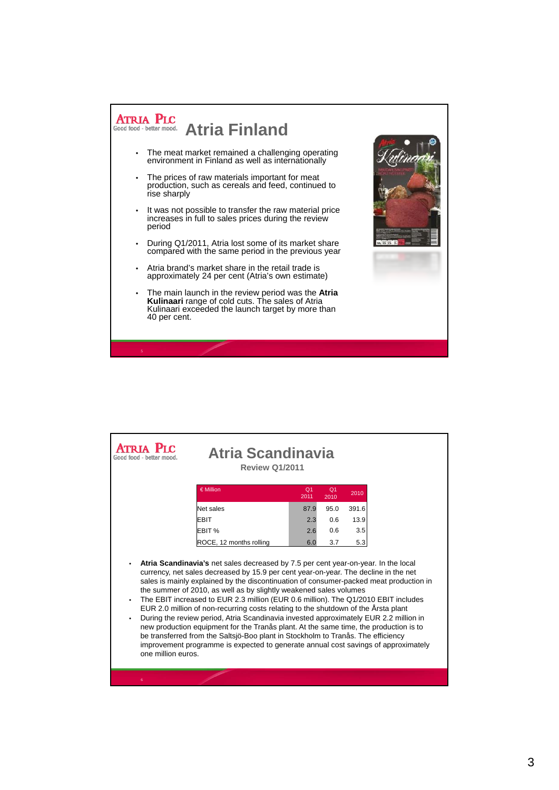

|                                                                                                                                                                                                                                                                                                                                                                                                                                                                                                                                                                                                                                                                                                                                                                                                                                                                                                                               | Atria Scandinavia<br><b>Review 01/2011</b> |                        |                        |       |  |  |
|-------------------------------------------------------------------------------------------------------------------------------------------------------------------------------------------------------------------------------------------------------------------------------------------------------------------------------------------------------------------------------------------------------------------------------------------------------------------------------------------------------------------------------------------------------------------------------------------------------------------------------------------------------------------------------------------------------------------------------------------------------------------------------------------------------------------------------------------------------------------------------------------------------------------------------|--------------------------------------------|------------------------|------------------------|-------|--|--|
|                                                                                                                                                                                                                                                                                                                                                                                                                                                                                                                                                                                                                                                                                                                                                                                                                                                                                                                               | € Million                                  | Q <sub>1</sub><br>2011 | Q <sub>1</sub><br>2010 | 2010  |  |  |
|                                                                                                                                                                                                                                                                                                                                                                                                                                                                                                                                                                                                                                                                                                                                                                                                                                                                                                                               | <b>Net sales</b>                           | 87.9                   | 95.0                   | 391.6 |  |  |
|                                                                                                                                                                                                                                                                                                                                                                                                                                                                                                                                                                                                                                                                                                                                                                                                                                                                                                                               | <b>EBIT</b>                                | 2.3                    | 0.6                    | 13.9  |  |  |
|                                                                                                                                                                                                                                                                                                                                                                                                                                                                                                                                                                                                                                                                                                                                                                                                                                                                                                                               | EBIT %                                     | 2.6                    | 0.6                    | 3.5   |  |  |
|                                                                                                                                                                                                                                                                                                                                                                                                                                                                                                                                                                                                                                                                                                                                                                                                                                                                                                                               | ROCE, 12 months rolling                    | 6.0                    | 3.7                    | 5.3   |  |  |
| Atria Scandinavia's net sales decreased by 7.5 per cent year-on-year. In the local<br>$\bullet$<br>currency, net sales decreased by 15.9 per cent year-on-year. The decline in the net<br>sales is mainly explained by the discontinuation of consumer-packed meat production in<br>the summer of 2010, as well as by slightly weakened sales volumes<br>The EBIT increased to EUR 2.3 million (EUR 0.6 million). The Q1/2010 EBIT includes<br>٠<br>EUR 2.0 million of non-recurring costs relating to the shutdown of the Årsta plant<br>During the review period, Atria Scandinavia invested approximately EUR 2.2 million in<br>٠<br>new production equipment for the Tranås plant. At the same time, the production is to<br>be transferred from the Saltsjö-Boo plant in Stockholm to Tranås. The efficiency<br>improvement programme is expected to generate annual cost savings of approximately<br>one million euros. |                                            |                        |                        |       |  |  |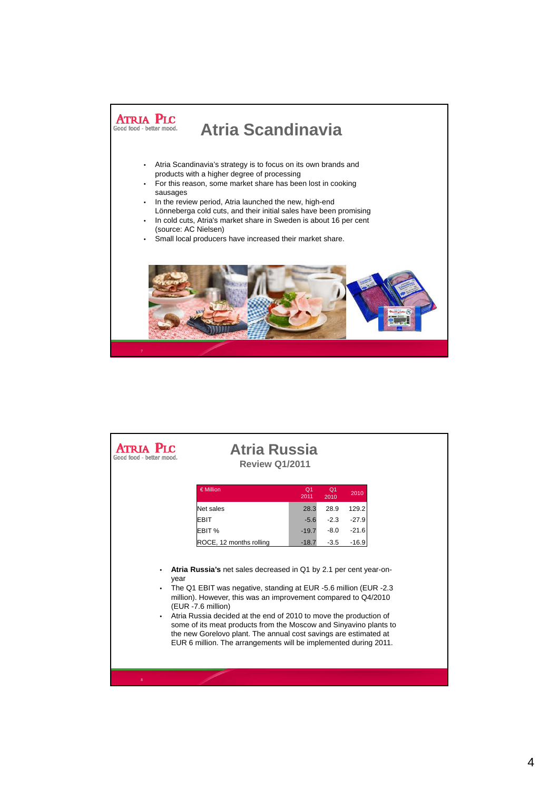

| PтC<br>Good food - bette                                                                                                                                                                                                                                                                                                                                                                                                                                                                                                           | <b>Atria Russia</b><br><b>Review Q1/2011</b> |                        |                        |         |  |  |
|------------------------------------------------------------------------------------------------------------------------------------------------------------------------------------------------------------------------------------------------------------------------------------------------------------------------------------------------------------------------------------------------------------------------------------------------------------------------------------------------------------------------------------|----------------------------------------------|------------------------|------------------------|---------|--|--|
|                                                                                                                                                                                                                                                                                                                                                                                                                                                                                                                                    | € Million                                    | Q <sub>1</sub><br>2011 | Q <sub>1</sub><br>2010 | 2010    |  |  |
|                                                                                                                                                                                                                                                                                                                                                                                                                                                                                                                                    | Net sales                                    | 28.3                   | 28.9                   | 129.2   |  |  |
|                                                                                                                                                                                                                                                                                                                                                                                                                                                                                                                                    | <b>EBIT</b>                                  | $-5.6$                 | $-2.3$                 | $-27.9$ |  |  |
|                                                                                                                                                                                                                                                                                                                                                                                                                                                                                                                                    | EBIT <sub>%</sub>                            | $-19.7$                | $-8.0$                 | $-21.6$ |  |  |
|                                                                                                                                                                                                                                                                                                                                                                                                                                                                                                                                    | ROCE, 12 months rolling                      |                        | $-3.5$                 | $-16.9$ |  |  |
| Atria Russia's net sales decreased in Q1 by 2.1 per cent year-on-<br>٠<br>year<br>The Q1 EBIT was negative, standing at EUR -5.6 million (EUR -2.3)<br>million). However, this was an improvement compared to Q4/2010<br>(EUR -7.6 million)<br>Atria Russia decided at the end of 2010 to move the production of<br>٠<br>some of its meat products from the Moscow and Sinyavino plants to<br>the new Gorelovo plant. The annual cost savings are estimated at<br>EUR 6 million. The arrangements will be implemented during 2011. |                                              |                        |                        |         |  |  |
| 8                                                                                                                                                                                                                                                                                                                                                                                                                                                                                                                                  |                                              |                        |                        |         |  |  |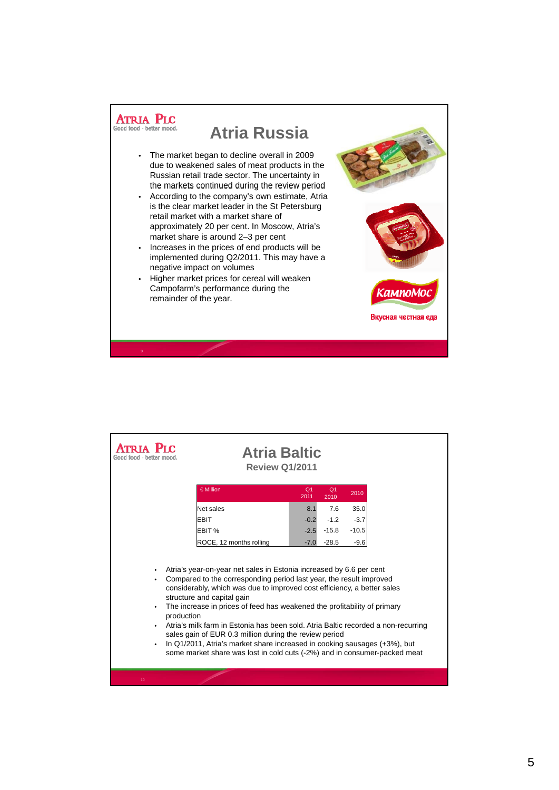

| € Million<br>Q <sub>1</sub><br>Q <sub>1</sub><br>2010<br>2010<br>2011<br>35.0<br>7.6<br>Net sales<br>8.1<br>$-0.2$<br>$-1.2$<br>$-3.7$<br>EBIT<br>EBIT %<br>$-15.8$<br>$-10.5$<br>$-2.5$<br>$-28.5$<br>$-9.6$<br>ROCE, 12 months rolling<br>$-7.0$<br>Atria's year-on-year net sales in Estonia increased by 6.6 per cent<br>Compared to the corresponding period last year, the result improved<br>$\bullet$<br>considerably, which was due to improved cost efficiency, a better sales<br>structure and capital gain<br>The increase in prices of feed has weakened the profitability of primary<br>production<br>Atria's milk farm in Estonia has been sold. Atria Baltic recorded a non-recurring<br>sales gain of EUR 0.3 million during the review period<br>In Q1/2011, Atria's market share increased in cooking sausages (+3%), but<br>some market share was lost in cold cuts (-2%) and in consumer-packed meat | PLC | <b>Atria Baltic</b><br><b>Review Q1/2011</b> |  |  |
|---------------------------------------------------------------------------------------------------------------------------------------------------------------------------------------------------------------------------------------------------------------------------------------------------------------------------------------------------------------------------------------------------------------------------------------------------------------------------------------------------------------------------------------------------------------------------------------------------------------------------------------------------------------------------------------------------------------------------------------------------------------------------------------------------------------------------------------------------------------------------------------------------------------------------|-----|----------------------------------------------|--|--|
|                                                                                                                                                                                                                                                                                                                                                                                                                                                                                                                                                                                                                                                                                                                                                                                                                                                                                                                           |     |                                              |  |  |
|                                                                                                                                                                                                                                                                                                                                                                                                                                                                                                                                                                                                                                                                                                                                                                                                                                                                                                                           |     |                                              |  |  |
|                                                                                                                                                                                                                                                                                                                                                                                                                                                                                                                                                                                                                                                                                                                                                                                                                                                                                                                           |     |                                              |  |  |
|                                                                                                                                                                                                                                                                                                                                                                                                                                                                                                                                                                                                                                                                                                                                                                                                                                                                                                                           |     |                                              |  |  |
|                                                                                                                                                                                                                                                                                                                                                                                                                                                                                                                                                                                                                                                                                                                                                                                                                                                                                                                           |     |                                              |  |  |
|                                                                                                                                                                                                                                                                                                                                                                                                                                                                                                                                                                                                                                                                                                                                                                                                                                                                                                                           |     |                                              |  |  |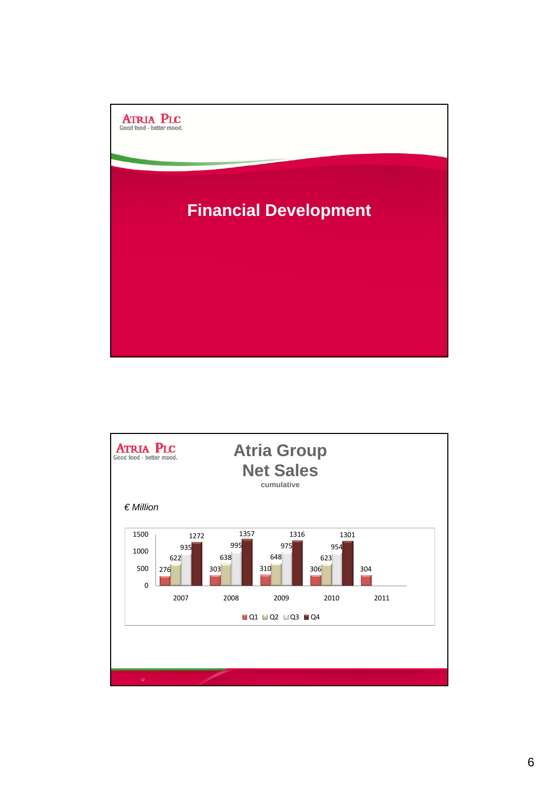

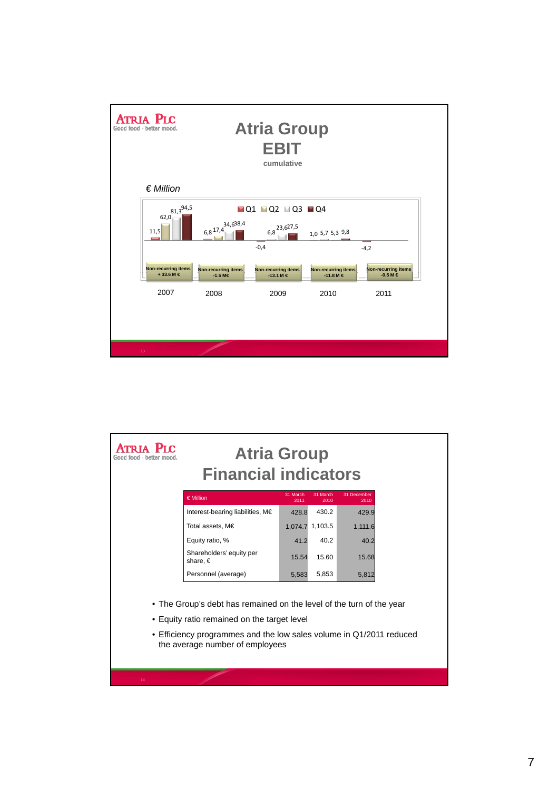

| ATRIA PIC<br>Good food - hetter mood                                                                                | <b>Atria Group</b><br><b>Financial indicators</b>           |                 |         |  |  |  |
|---------------------------------------------------------------------------------------------------------------------|-------------------------------------------------------------|-----------------|---------|--|--|--|
| € Million                                                                                                           | 31 December<br>31 March<br>31 March<br>2011<br>2010<br>2010 |                 |         |  |  |  |
| Interest-bearing liabilities, M€                                                                                    | 428.8                                                       | 430.2           | 429.9   |  |  |  |
| Total assets, M€                                                                                                    |                                                             | 1,074.7 1,103.5 | 1,111.6 |  |  |  |
| Equity ratio, %                                                                                                     | 41.2                                                        | 40.2            | 40.2    |  |  |  |
| Shareholders' equity per<br>share, $\in$                                                                            | 15.60<br>15.54<br>15.68                                     |                 |         |  |  |  |
| Personnel (average)                                                                                                 | 5,583                                                       | 5,853           | 5,812   |  |  |  |
| • The Group's debt has remained on the level of the turn of the year<br>• Equity ratio remained on the target level |                                                             |                 |         |  |  |  |
| • Efficiency programmes and the low sales volume in Q1/2011 reduced<br>the average number of employees              |                                                             |                 |         |  |  |  |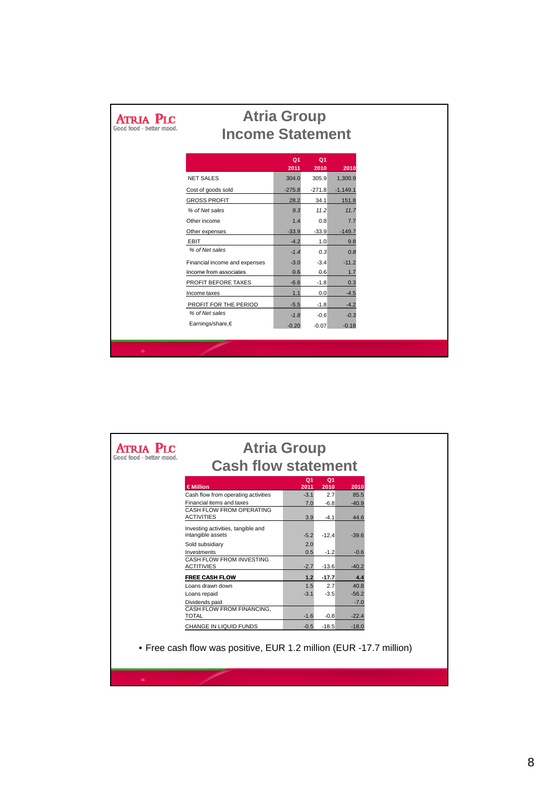| <b>ATRIA PIC</b><br>Good food - better mood | <b>Atria Group</b><br><b>Income Statement</b> |                        |                        |            |  |
|---------------------------------------------|-----------------------------------------------|------------------------|------------------------|------------|--|
|                                             |                                               | Q <sub>1</sub><br>2011 | Q <sub>1</sub><br>2010 | 2010       |  |
|                                             | <b>NET SALES</b>                              | 304.0                  | 305.9                  | 1,300.9    |  |
|                                             | Cost of goods sold                            | $-275.8$               | $-271.8$               | $-1,149.1$ |  |
|                                             | <b>GROSS PROFIT</b>                           | 28.2                   | 34.1                   | 151.8      |  |
|                                             | % of Net sales                                | 9.3                    | 11.2                   | 11.7       |  |
|                                             | Other income                                  | 1.4                    | 0.8                    | 7.7        |  |
|                                             | Other expenses                                | $-33.9$                | $-33.9$                | $-149.7$   |  |
|                                             | EBIT                                          | $-4.2$                 | 1.0                    | 9.8        |  |
|                                             | % of Net sales                                | $-1.4$                 | 0.3                    | 0.8        |  |
|                                             | Financial income and expenses                 | $-3.0$                 | $-3.4$                 | $-11.2$    |  |
|                                             | Income from associates                        | 0.6                    | 0.6                    | 1.7        |  |
|                                             | PROFIT BEFORE TAXES                           | $-6.6$                 | $-1.8$                 | 0.3        |  |
|                                             | Income taxes                                  | 1.1                    | 0.0                    | $-4.5$     |  |
|                                             | PROFIT FOR THE PERIOD                         | $-5.5$                 | $-1.8$                 | $-4.2$     |  |
|                                             | % of Net sales                                | $-1.8$                 | $-0.6$                 | $-0.3$     |  |
|                                             | Earnings/share,€                              | $-0.20$                | $-0.07$                | $-0.18$    |  |
|                                             |                                               |                        |                        |            |  |
| 15                                          |                                               |                        |                        |            |  |

| <b>ATRIA PLC</b><br>Good food - better mood | <b>Atria Group</b>                                      |                        |                        |         |
|---------------------------------------------|---------------------------------------------------------|------------------------|------------------------|---------|
|                                             | <b>Cash flow statement</b>                              |                        |                        |         |
|                                             | €Million                                                | Q <sub>1</sub><br>2011 | Q <sub>1</sub><br>2010 | 2010    |
|                                             | Cash flow from operating activities                     | $-3.1$                 | 2.7                    | 85.5    |
|                                             | Financial items and taxes                               | 7.0                    | $-6.8$                 | $-40.9$ |
|                                             | CASH FLOW FROM OPERATING                                |                        |                        |         |
|                                             | <b>ACTIVITIES</b>                                       | 3.9                    | $-4.1$                 | 44.6    |
|                                             | Investing activities, tangible and<br>intangible assets | $-5.2$                 | $-12.4$                | $-39.6$ |
|                                             | Sold subsidiary                                         | 2.0                    |                        |         |
|                                             | Investments                                             | 0.5                    | $-1.2$                 | $-0.6$  |
|                                             | CASH FLOW FROM INVESTING                                |                        |                        |         |
|                                             | <b>ACTITIVIES</b>                                       | $-2.7$                 | $-13.6$                | $-40.2$ |
|                                             | <b>FREE CASH FLOW</b>                                   | 1.2                    | $-17.7$                | 4.4     |
|                                             | Loans drawn down                                        | 1.5                    | 2.7                    | 40.8    |
|                                             | Loans repaid                                            | $-3.1$                 | $-3.5$                 | $-56.2$ |
|                                             | Dividends paid                                          |                        |                        | $-7.0$  |
|                                             | CASH FLOW FROM FINANCING,<br><b>TOTAL</b>               | $-1.6$                 | $-0.8$                 | $-22.4$ |
|                                             |                                                         |                        |                        |         |
|                                             | CHANGE IN LIQUID FUNDS                                  | $-0.5$                 | $-18.5$                | $-18.0$ |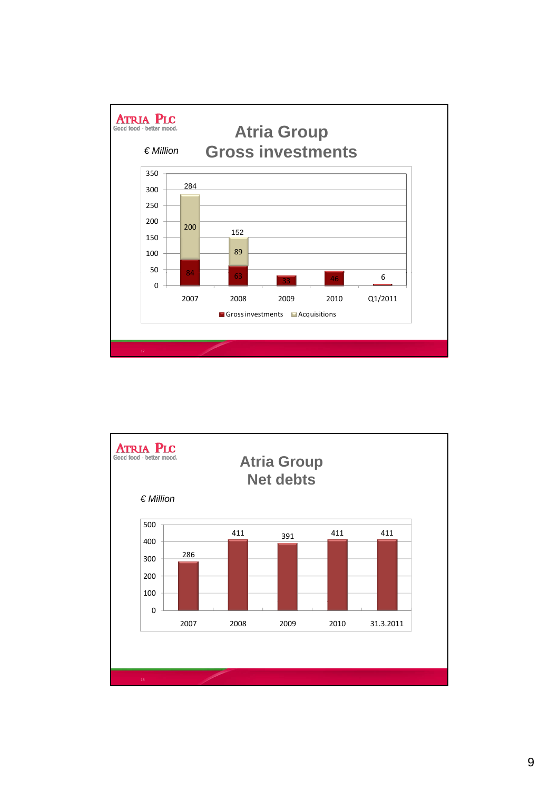

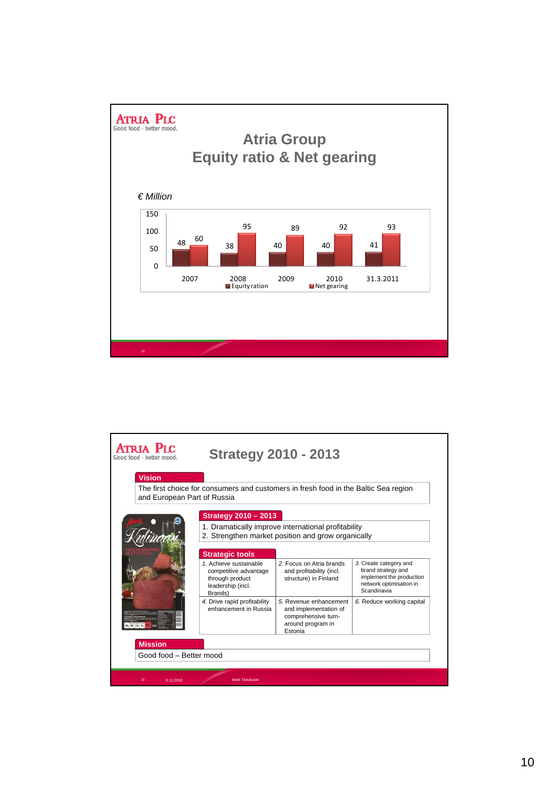

| Atria Plc<br>Good food - better mood      | <b>Strategy 2010 - 2013</b>                                                                        |                                                                                                           |                                                                                                                    |  |  |  |
|-------------------------------------------|----------------------------------------------------------------------------------------------------|-----------------------------------------------------------------------------------------------------------|--------------------------------------------------------------------------------------------------------------------|--|--|--|
| <b>Vision</b>                             |                                                                                                    |                                                                                                           |                                                                                                                    |  |  |  |
| and European Part of Russia               | The first choice for consumers and customers in fresh food in the Baltic Sea region                |                                                                                                           |                                                                                                                    |  |  |  |
|                                           | <b>Strategy 2010 - 2013</b>                                                                        | 1. Dramatically improve international profitability<br>2. Strengthen market position and grow organically |                                                                                                                    |  |  |  |
|                                           | <b>Strategic tools</b>                                                                             |                                                                                                           |                                                                                                                    |  |  |  |
|                                           | 1. Achieve sustainable<br>competitive advantage<br>through product<br>leadership (incl.<br>Brands) | 2. Focus on Atria brands<br>and profitability (incl.<br>structure) in Finland                             | 3. Create category and<br>brand strategy and<br>implement the production<br>network optimisation in<br>Scandinavia |  |  |  |
|                                           | 4. Drive rapid profitability<br>enhancement in Russia                                              | 5. Revenue enhancement<br>and implementation of<br>comprehensive turn-<br>around program in<br>Estonia    | 6. Reduce working capital                                                                                          |  |  |  |
| <b>Mission</b><br>Good food - Better mood |                                                                                                    |                                                                                                           |                                                                                                                    |  |  |  |
| 8.12.2010<br>20                           | Matti Tikkakoski                                                                                   |                                                                                                           |                                                                                                                    |  |  |  |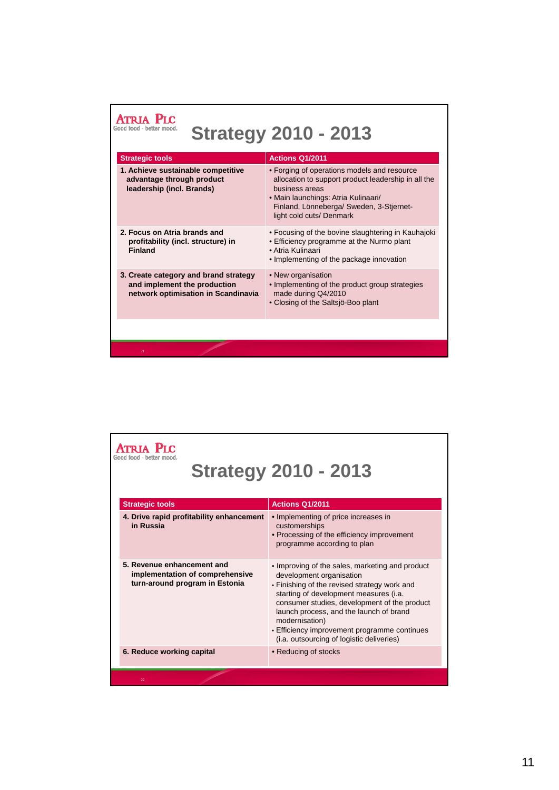| <b>Strategy 2010 - 2013</b>                                                                                  |                                                                                                                                                                                                                                     |  |  |  |  |
|--------------------------------------------------------------------------------------------------------------|-------------------------------------------------------------------------------------------------------------------------------------------------------------------------------------------------------------------------------------|--|--|--|--|
| <b>Strategic tools</b>                                                                                       | <b>Actions Q1/2011</b>                                                                                                                                                                                                              |  |  |  |  |
| 1. Achieve sustainable competitive<br>advantage through product<br>leadership (incl. Brands)                 | • Forging of operations models and resource<br>allocation to support product leadership in all the<br>husiness areas<br>• Main launchings: Atria Kulinaari/<br>Finland, Lönneberga/ Sweden, 3-Stjernet-<br>light cold cuts/ Denmark |  |  |  |  |
| 2. Focus on Atria brands and<br>profitability (incl. structure) in<br><b>Finland</b>                         | • Focusing of the bovine slaughtering in Kauhajoki<br>• Efficiency programme at the Nurmo plant<br>• Atria Kulinaari<br>• Implementing of the package innovation                                                                    |  |  |  |  |
| 3. Create category and brand strategy<br>and implement the production<br>network optimisation in Scandinavia | • New organisation<br>• Implementing of the product group strategies<br>made during Q4/2010<br>• Closing of the Saltsjö-Boo plant                                                                                                   |  |  |  |  |
|                                                                                                              |                                                                                                                                                                                                                                     |  |  |  |  |
| 21                                                                                                           |                                                                                                                                                                                                                                     |  |  |  |  |

|                        |                                                                                                 | <b>Strategy 2010 - 2013</b>                                                                                                                                                                                                                                                                                                                                                     |
|------------------------|-------------------------------------------------------------------------------------------------|---------------------------------------------------------------------------------------------------------------------------------------------------------------------------------------------------------------------------------------------------------------------------------------------------------------------------------------------------------------------------------|
| <b>Strategic tools</b> |                                                                                                 | <b>Actions Q1/2011</b>                                                                                                                                                                                                                                                                                                                                                          |
| in Russia              | 4. Drive rapid profitability enhancement                                                        | • Implementing of price increases in<br>customerships<br>• Processing of the efficiency improvement<br>programme according to plan                                                                                                                                                                                                                                              |
|                        | 5. Revenue enhancement and<br>implementation of comprehensive<br>turn-around program in Estonia | • Improving of the sales, marketing and product<br>development organisation<br>• Finishing of the revised strategy work and<br>starting of development measures (i.a.<br>consumer studies, development of the product<br>launch process, and the launch of brand<br>modernisation)<br>• Efficiency improvement programme continues<br>(i.a. outsourcing of logistic deliveries) |
|                        | 6. Reduce working capital                                                                       | • Reducing of stocks                                                                                                                                                                                                                                                                                                                                                            |
| 22                     |                                                                                                 |                                                                                                                                                                                                                                                                                                                                                                                 |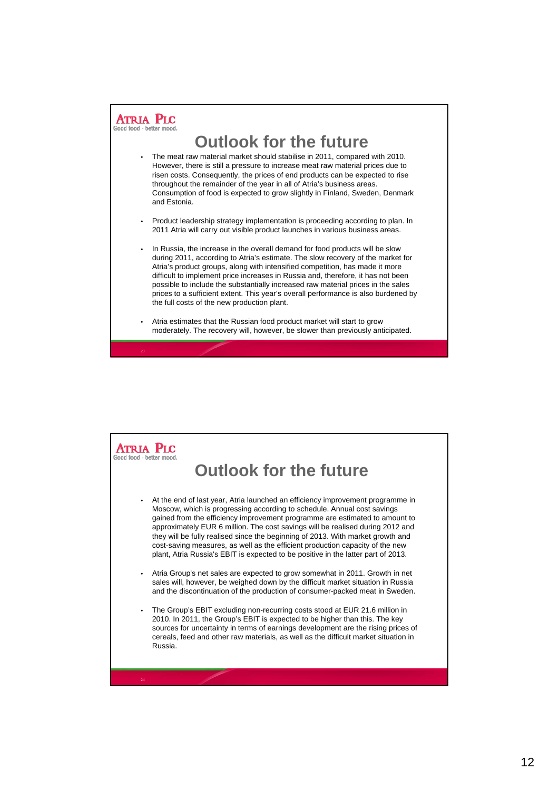